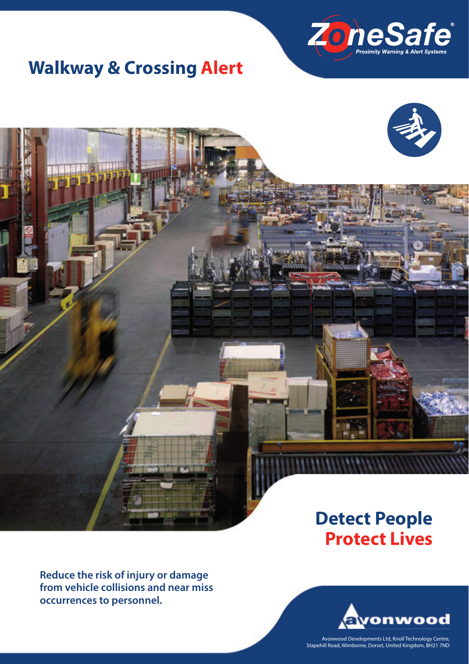

## **Walkway & Crossing Alert**



## **Detect People Protect Lives**

**Reduce the risk of injury or damage from vehicle collisions and near miss occurrences to personnel.**



Avonwood Developments Ltd, Knoll Technology Centre, Stapehill Road, Wimborne, Dorset, United Kingdom, BH21 7ND